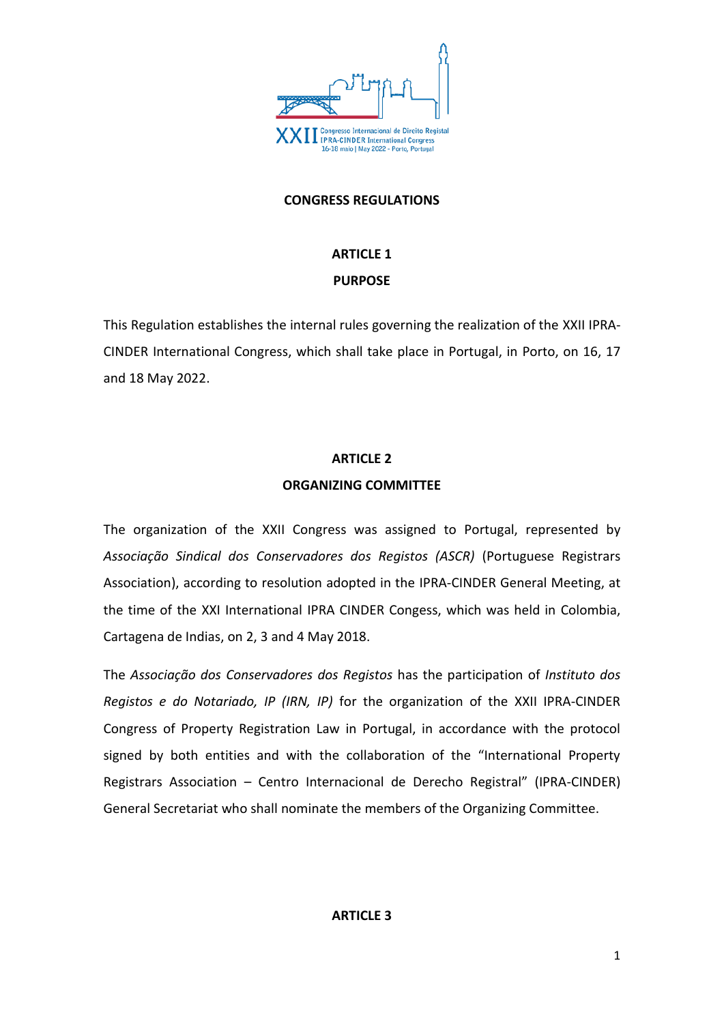

#### **CONGRESS REGULATIONS**

# **ARTICLE 1 PURPOSE**

This Regulation establishes the internal rules governing the realization of the XXII IPRA-CINDER International Congress, which shall take place in Portugal, in Porto, on 16, 17 and 18 May 2022.

## **ARTICLE 2**

## **ORGANIZING COMMITTEE**

The organization of the XXII Congress was assigned to Portugal, represented by *Associação Sindical dos Conservadores dos Registos (ASCR)* (Portuguese Registrars Association), according to resolution adopted in the IPRA-CINDER General Meeting, at the time of the XXI International IPRA CINDER Congess, which was held in Colombia, Cartagena de Indias, on 2, 3 and 4 May 2018.

The *Associação dos Conservadores dos Registos* has the participation of *Instituto dos Registos e do Notariado, IP (IRN, IP)* for the organization of the XXII IPRA-CINDER Congress of Property Registration Law in Portugal, in accordance with the protocol signed by both entities and with the collaboration of the "International Property Registrars Association – Centro Internacional de Derecho Registral" (IPRA-CINDER) General Secretariat who shall nominate the members of the Organizing Committee.

#### **ARTICLE 3**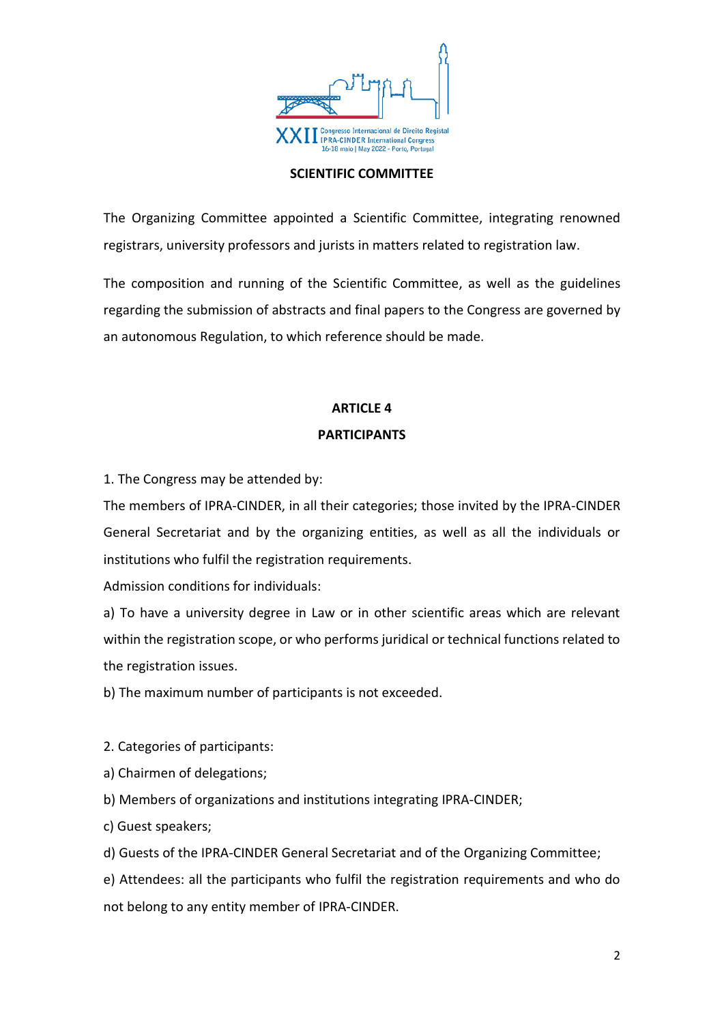

#### **SCIENTIFIC COMMITTEE**

The Organizing Committee appointed a Scientific Committee, integrating renowned registrars, university professors and jurists in matters related to registration law.

The composition and running of the Scientific Committee, as well as the guidelines regarding the submission of abstracts and final papers to the Congress are governed by an autonomous Regulation, to which reference should be made.

# **ARTICLE 4 PARTICIPANTS**

1. The Congress may be attended by:

The members of IPRA-CINDER, in all their categories; those invited by the IPRA-CINDER General Secretariat and by the organizing entities, as well as all the individuals or institutions who fulfil the registration requirements.

Admission conditions for individuals:

a) To have a university degree in Law or in other scientific areas which are relevant within the registration scope, or who performs juridical or technical functions related to the registration issues.

b) The maximum number of participants is not exceeded.

2. Categories of participants:

a) Chairmen of delegations;

b) Members of organizations and institutions integrating IPRA-CINDER;

c) Guest speakers;

d) Guests of the IPRA-CINDER General Secretariat and of the Organizing Committee;

e) Attendees: all the participants who fulfil the registration requirements and who do not belong to any entity member of IPRA-CINDER.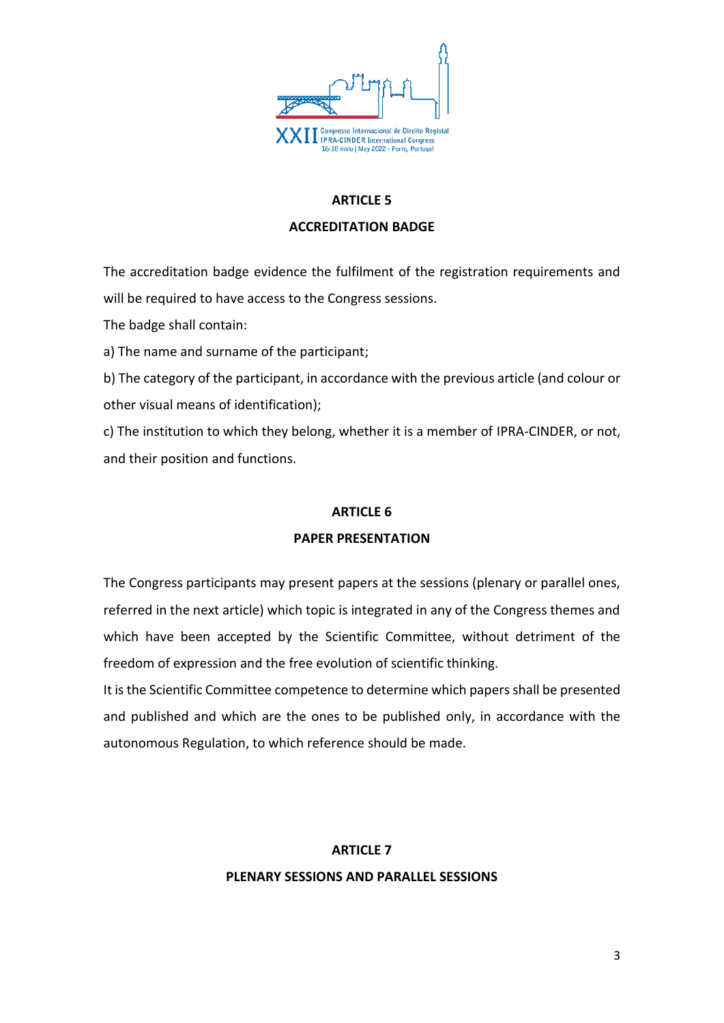

## **ARTICLE 5**

#### **ACCREDITATION BADGE**

The accreditation badge evidence the fulfilment of the registration requirements and will be required to have access to the Congress sessions.

The badge shall contain:

a) The name and surname of the participant;

b) The category of the participant, in accordance with the previous article (and colour or other visual means of identification);

c) The institution to which they belong, whether it is a member of IPRA-CINDER, or not, and their position and functions.

#### **ARTICLE 6**

#### **PAPER PRESENTATION**

The Congress participants may present papers at the sessions (plenary or parallel ones, referred in the next article) which topic is integrated in any of the Congress themes and which have been accepted by the Scientific Committee, without detriment of the freedom of expression and the free evolution of scientific thinking.

It is the Scientific Committee competence to determine which papersshall be presented and published and which are the ones to be published only, in accordance with the autonomous Regulation, to which reference should be made.

#### **ARTICLE 7**

#### **PLENARY SESSIONS AND PARALLEL SESSIONS**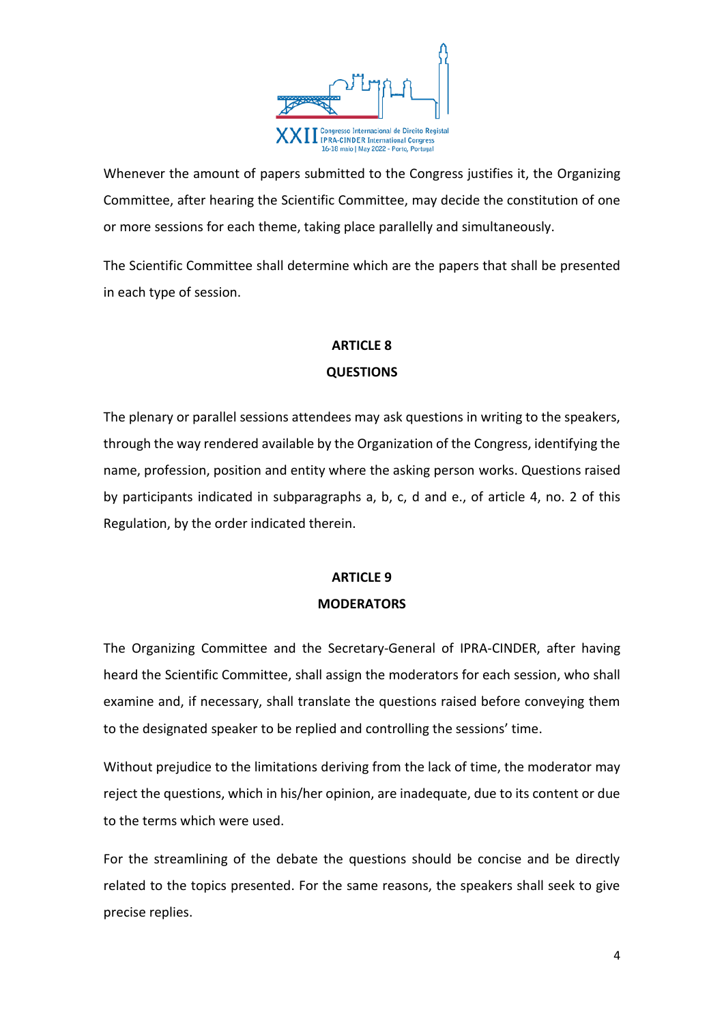

Whenever the amount of papers submitted to the Congress justifies it, the Organizing Committee, after hearing the Scientific Committee, may decide the constitution of one or more sessions for each theme, taking place parallelly and simultaneously.

The Scientific Committee shall determine which are the papers that shall be presented in each type of session.

# **ARTICLE 8 QUESTIONS**

The plenary or parallel sessions attendees may ask questions in writing to the speakers, through the way rendered available by the Organization of the Congress, identifying the name, profession, position and entity where the asking person works. Questions raised by participants indicated in subparagraphs a, b, c, d and e., of article 4, no. 2 of this Regulation, by the order indicated therein.

# **ARTICLE 9 MODERATORS**

The Organizing Committee and the Secretary-General of IPRA-CINDER, after having heard the Scientific Committee, shall assign the moderators for each session, who shall examine and, if necessary, shall translate the questions raised before conveying them to the designated speaker to be replied and controlling the sessions' time.

Without prejudice to the limitations deriving from the lack of time, the moderator may reject the questions, which in his/her opinion, are inadequate, due to its content or due to the terms which were used.

For the streamlining of the debate the questions should be concise and be directly related to the topics presented. For the same reasons, the speakers shall seek to give precise replies.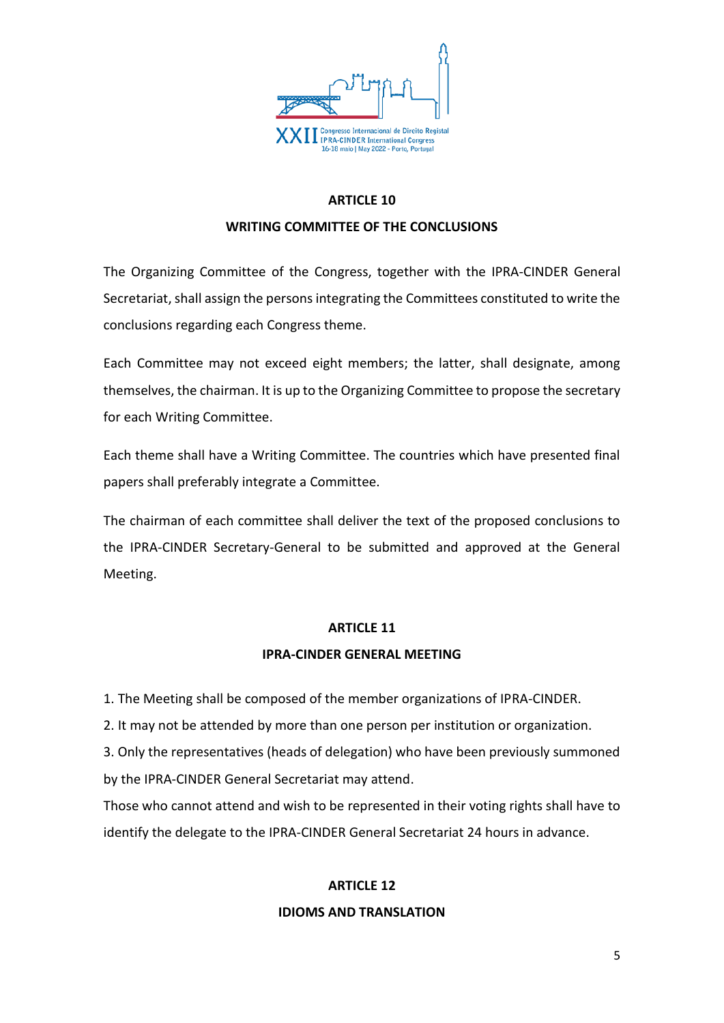

# **ARTICLE 10**

#### **WRITING COMMITTEE OF THE CONCLUSIONS**

The Organizing Committee of the Congress, together with the IPRA-CINDER General Secretariat, shall assign the persons integrating the Committees constituted to write the conclusions regarding each Congress theme.

Each Committee may not exceed eight members; the latter, shall designate, among themselves, the chairman. It is up to the Organizing Committee to propose the secretary for each Writing Committee.

Each theme shall have a Writing Committee. The countries which have presented final papers shall preferably integrate a Committee.

The chairman of each committee shall deliver the text of the proposed conclusions to the IPRA-CINDER Secretary-General to be submitted and approved at the General Meeting.

#### **ARTICLE 11**

#### **IPRA-CINDER GENERAL MEETING**

1. The Meeting shall be composed of the member organizations of IPRA-CINDER.

2. It may not be attended by more than one person per institution or organization.

3. Only the representatives (heads of delegation) who have been previously summoned by the IPRA-CINDER General Secretariat may attend.

Those who cannot attend and wish to be represented in their voting rights shall have to identify the delegate to the IPRA-CINDER General Secretariat 24 hours in advance.

#### **ARTICLE 12**

#### **IDIOMS AND TRANSLATION**